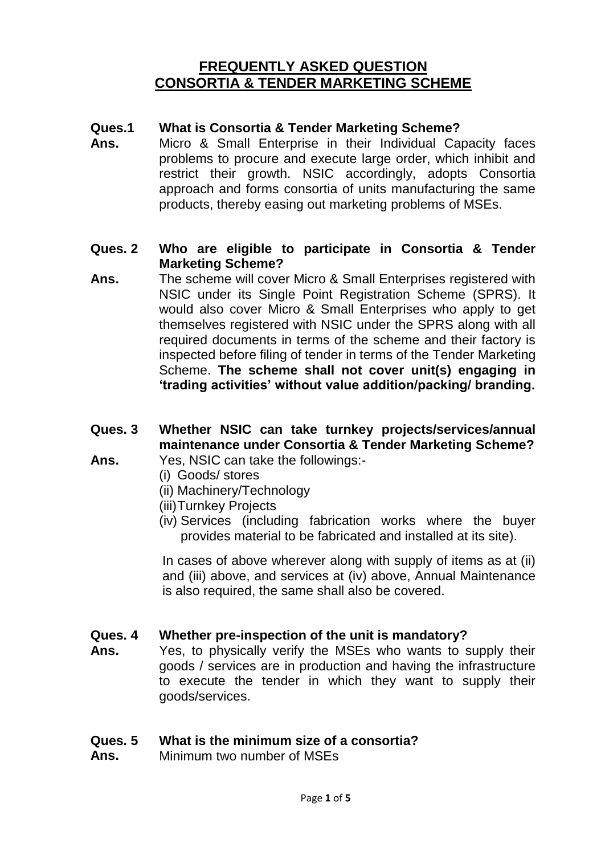#### **Ques.1 What is Consortia & Tender Marketing Scheme?**

**Ans.** Micro & Small Enterprise in their Individual Capacity faces problems to procure and execute large order, which inhibit and restrict their growth. NSIC accordingly, adopts Consortia approach and forms consortia of units manufacturing the same products, thereby easing out marketing problems of MSEs.

#### **Ques. 2 Who are eligible to participate in Consortia & Tender Marketing Scheme?**

**Ans.** The scheme will cover Micro & Small Enterprises registered with NSIC under its Single Point Registration Scheme (SPRS). It would also cover Micro & Small Enterprises who apply to get themselves registered with NSIC under the SPRS along with all required documents in terms of the scheme and their factory is inspected before filing of tender in terms of the Tender Marketing Scheme. **The scheme shall not cover unit(s) engaging in 'trading activities' without value addition/packing/ branding.**

### **Ques. 3 Ans. Whether NSIC can take turnkey projects/services/annual maintenance under Consortia & Tender Marketing Scheme?**

- Yes, NSIC can take the followings:-
	- (i) Goods/ stores
	- (ii) Machinery/Technology
	- (iii)Turnkey Projects
	- (iv) Services (including fabrication works where the buyer provides material to be fabricated and installed at its site).

In cases of above wherever along with supply of items as at (ii) and (iii) above, and services at (iv) above, Annual Maintenance is also required, the same shall also be covered.

#### **Ques. 4 Whether pre-inspection of the unit is mandatory?**

**Ans.** Yes, to physically verify the MSEs who wants to supply their goods / services are in production and having the infrastructure to execute the tender in which they want to supply their goods/services.

#### **Ques. 5 What is the minimum size of a consortia?**

**Ans.** Minimum two number of MSEs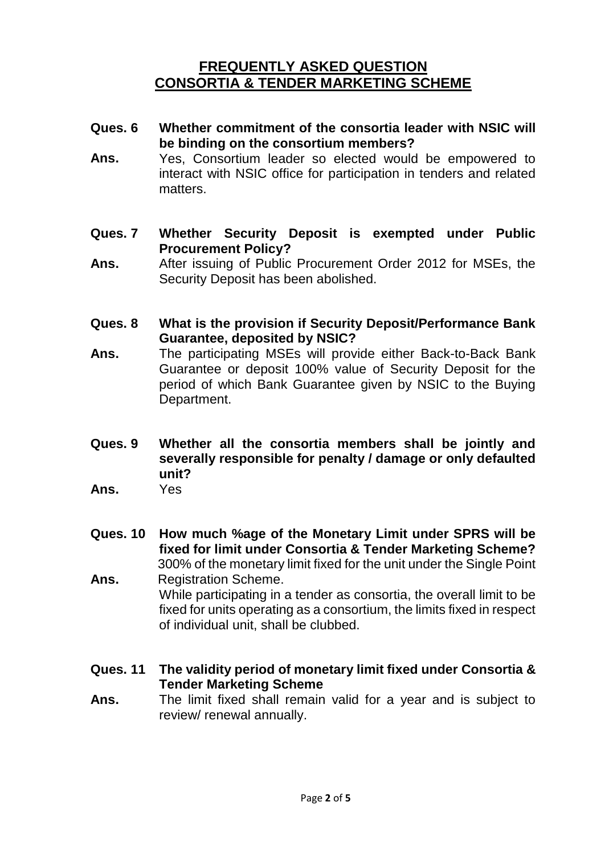- **Ques. 6 Whether commitment of the consortia leader with NSIC will be binding on the consortium members?**
- **Ans.** Yes, Consortium leader so elected would be empowered to interact with NSIC office for participation in tenders and related matters.
- **Ques. 7 Whether Security Deposit is exempted under Public Procurement Policy?**
- **Ans.** After issuing of Public Procurement Order 2012 for MSEs, the Security Deposit has been abolished.
- **Ques. 8 What is the provision if Security Deposit/Performance Bank Guarantee, deposited by NSIC?**
- **Ans.** The participating MSEs will provide either Back-to-Back Bank Guarantee or deposit 100% value of Security Deposit for the period of which Bank Guarantee given by NSIC to the Buying Department.
- **Ques. 9 Whether all the consortia members shall be jointly and severally responsible for penalty / damage or only defaulted unit?**
- **Ans.** Yes
- **Ques. 10 How much %age of the Monetary Limit under SPRS will be fixed for limit under Consortia & Tender Marketing Scheme?** 300% of the monetary limit fixed for the unit under the Single Point
- **Ans.** Registration Scheme. While participating in a tender as consortia, the overall limit to be fixed for units operating as a consortium, the limits fixed in respect of individual unit, shall be clubbed.
- **Ques. 11 The validity period of monetary limit fixed under Consortia & Tender Marketing Scheme**
- **Ans.** The limit fixed shall remain valid for a year and is subject to review/ renewal annually.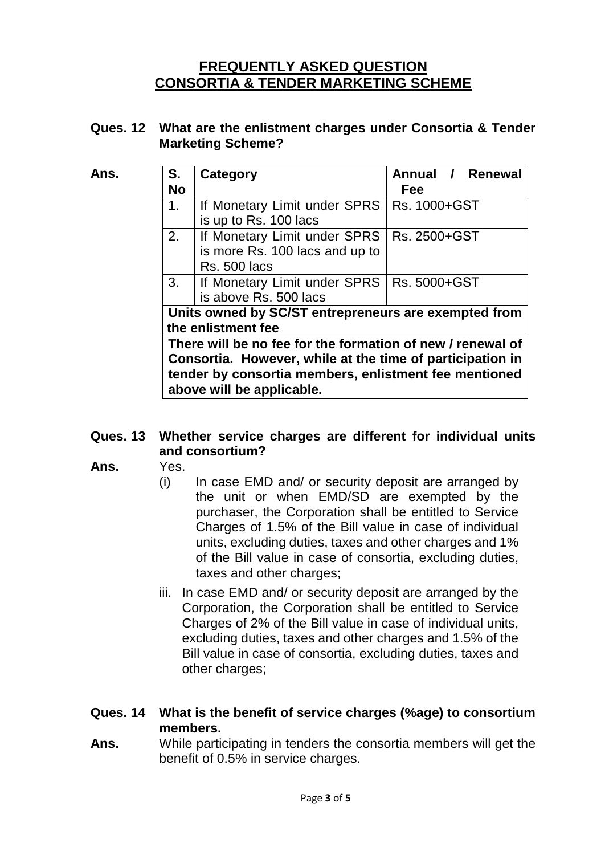## **Ques. 12 What are the enlistment charges under Consortia & Tender Marketing Scheme?**

| Ans. | S.                                                         | Category                                              | Annual / Renewal |  |
|------|------------------------------------------------------------|-------------------------------------------------------|------------------|--|
|      | <b>No</b>                                                  |                                                       | Fee              |  |
|      | 1.                                                         | If Monetary Limit under SPRS                          | Rs. 1000+GST     |  |
|      |                                                            | is up to Rs. 100 lacs                                 |                  |  |
|      | 2.                                                         | If Monetary Limit under SPRS                          | Rs. 2500+GST     |  |
|      |                                                            | is more Rs. 100 lacs and up to                        |                  |  |
|      |                                                            | <b>Rs. 500 lacs</b>                                   |                  |  |
|      | 3 <sub>1</sub>                                             | If Monetary Limit under SPRS                          | Rs. 5000+GST     |  |
|      |                                                            | is above Rs. 500 lacs                                 |                  |  |
|      | Units owned by SC/ST entrepreneurs are exempted from       |                                                       |                  |  |
|      | the enlistment fee                                         |                                                       |                  |  |
|      | There will be no fee for the formation of new / renewal of |                                                       |                  |  |
|      | Consortia. However, while at the time of participation in  |                                                       |                  |  |
|      |                                                            | tender by consortia members, enlistment fee mentioned |                  |  |
|      |                                                            | above will be applicable.                             |                  |  |

### **Ques. 13 Whether service charges are different for individual units and consortium?**

- **Ans.** Yes.
	- (i) In case EMD and/ or security deposit are arranged by the unit or when EMD/SD are exempted by the purchaser, the Corporation shall be entitled to Service Charges of 1.5% of the Bill value in case of individual units, excluding duties, taxes and other charges and 1% of the Bill value in case of consortia, excluding duties, taxes and other charges;
	- iii. In case EMD and/ or security deposit are arranged by the Corporation, the Corporation shall be entitled to Service Charges of 2% of the Bill value in case of individual units, excluding duties, taxes and other charges and 1.5% of the Bill value in case of consortia, excluding duties, taxes and other charges;

### **Ques. 14 What is the benefit of service charges (%age) to consortium members.**

**Ans.** While participating in tenders the consortia members will get the benefit of 0.5% in service charges.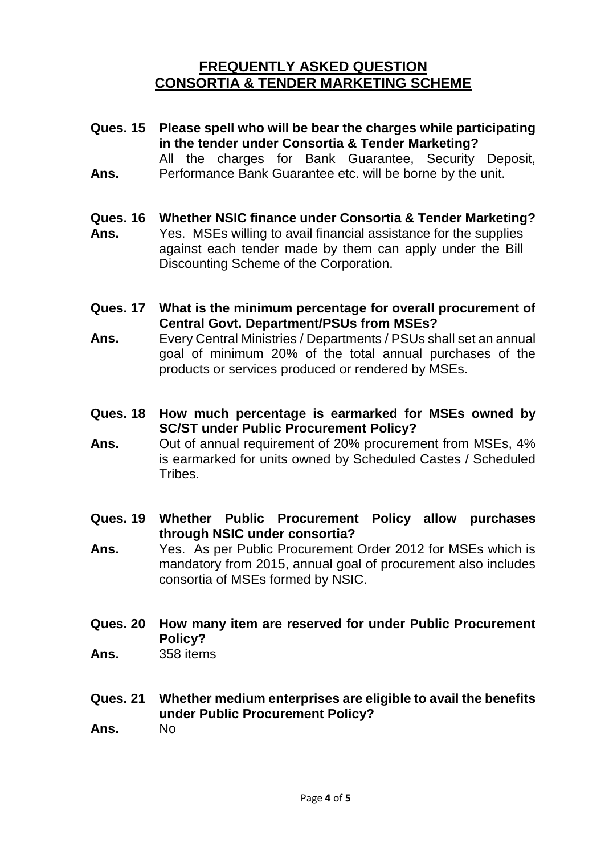- **Ques. 15 Please spell who will be bear the charges while participating in the tender under Consortia & Tender Marketing?** All the charges for Bank Guarantee, Security Deposit,
- **Ans.** Performance Bank Guarantee etc. will be borne by the unit.
- **Ques. 16 Whether NSIC finance under Consortia & Tender Marketing?**
- **Ans.** Yes. MSEs willing to avail financial assistance for the supplies against each tender made by them can apply under the Bill Discounting Scheme of the Corporation.
- **Ques. 17 What is the minimum percentage for overall procurement of Central Govt. Department/PSUs from MSEs?**
- **Ans.** Every Central Ministries / Departments / PSUs shall set an annual goal of minimum 20% of the total annual purchases of the products or services produced or rendered by MSEs.
- **Ques. 18 How much percentage is earmarked for MSEs owned by SC/ST under Public Procurement Policy?**
- **Ans.** Out of annual requirement of 20% procurement from MSEs, 4% is earmarked for units owned by Scheduled Castes / Scheduled **Tribes**
- **Ques. 19 Whether Public Procurement Policy allow purchases through NSIC under consortia?**
- **Ans.** Yes. As per Public Procurement Order 2012 for MSEs which is mandatory from 2015, annual goal of procurement also includes consortia of MSEs formed by NSIC.
- **Ques. 20 How many item are reserved for under Public Procurement Policy?**
- **Ans.** 358 items
- **Ques. 21 Whether medium enterprises are eligible to avail the benefits under Public Procurement Policy?**
- **Ans.** No